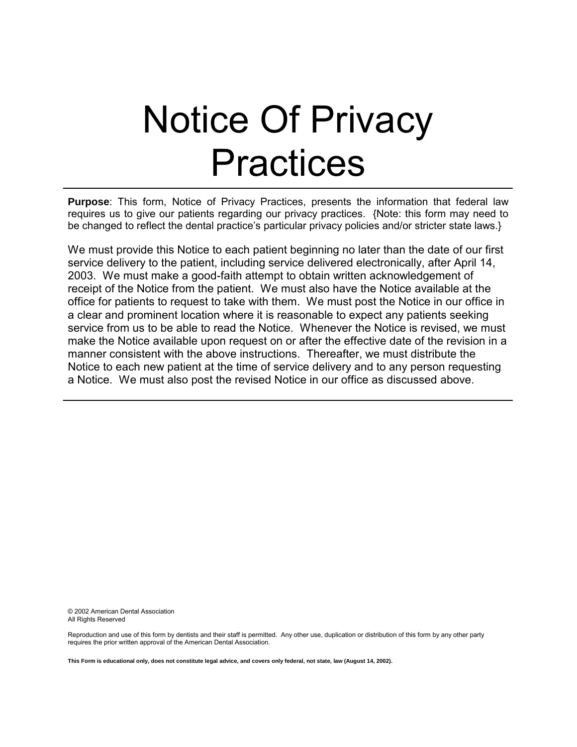# Notice Of Privacy Practices

**Purpose**: This form, Notice of Privacy Practices, presents the information that federal law requires us to give our patients regarding our privacy practices. {Note: this form may need to be changed to reflect the dental practice's particular privacy policies and/or stricter state laws.}

We must provide this Notice to each patient beginning no later than the date of our first service delivery to the patient, including service delivered electronically, after April 14, 2003. We must make a good-faith attempt to obtain written acknowledgement of receipt of the Notice from the patient. We must also have the Notice available at the office for patients to request to take with them. We must post the Notice in our office in a clear and prominent location where it is reasonable to expect any patients seeking service from us to be able to read the Notice. Whenever the Notice is revised, we must make the Notice available upon request on or after the effective date of the revision in a manner consistent with the above instructions. Thereafter, we must distribute the Notice to each new patient at the time of service delivery and to any person requesting a Notice. We must also post the revised Notice in our office as discussed above.

© 2002 American Dental Association All Rights Reserved

Reproduction and use of this form by dentists and their staff is permitted. Any other use, duplication or distribution of this form by any other party requires the prior written approval of the American Dental Association.

**This Form is educational only, does not constitute legal advice, and covers only federal, not state, law (August 14, 2002).**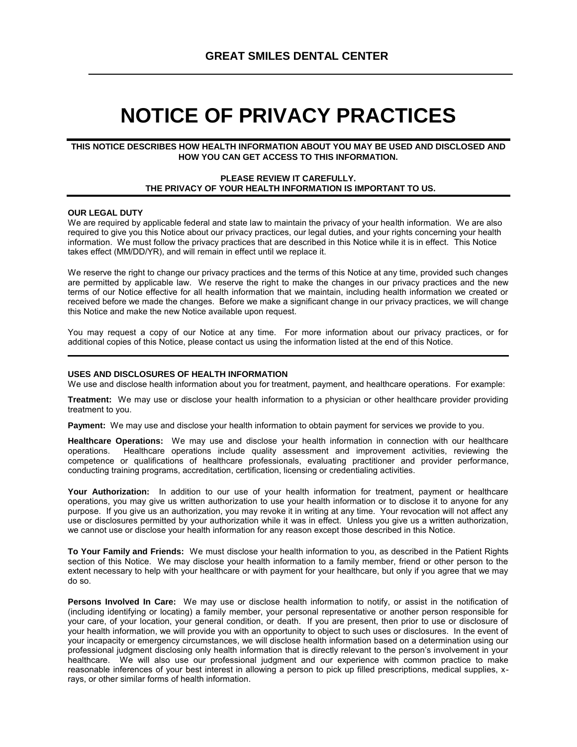# **NOTICE OF PRIVACY PRACTICES**

#### **THIS NOTICE DESCRIBES HOW HEALTH INFORMATION ABOUT YOU MAY BE USED AND DISCLOSED AND HOW YOU CAN GET ACCESS TO THIS INFORMATION.**

#### **PLEASE REVIEW IT CAREFULLY. THE PRIVACY OF YOUR HEALTH INFORMATION IS IMPORTANT TO US.**

#### **OUR LEGAL DUTY**

We are required by applicable federal and state law to maintain the privacy of your health information. We are also required to give you this Notice about our privacy practices, our legal duties, and your rights concerning your health information. We must follow the privacy practices that are described in this Notice while it is in effect. This Notice takes effect (MM/DD/YR), and will remain in effect until we replace it.

We reserve the right to change our privacy practices and the terms of this Notice at any time, provided such changes are permitted by applicable law. We reserve the right to make the changes in our privacy practices and the new terms of our Notice effective for all health information that we maintain, including health information we created or received before we made the changes. Before we make a significant change in our privacy practices, we will change this Notice and make the new Notice available upon request.

You may request a copy of our Notice at any time. For more information about our privacy practices, or for additional copies of this Notice, please contact us using the information listed at the end of this Notice.

#### **USES AND DISCLOSURES OF HEALTH INFORMATION**

We use and disclose health information about you for treatment, payment, and healthcare operations. For example:

**Treatment:** We may use or disclose your health information to a physician or other healthcare provider providing treatment to you.

**Payment:** We may use and disclose your health information to obtain payment for services we provide to you.

**Healthcare Operations:** We may use and disclose your health information in connection with our healthcare operations. Healthcare operations include quality assessment and improvement activities, reviewing the competence or qualifications of healthcare professionals, evaluating practitioner and provider performance, conducting training programs, accreditation, certification, licensing or credentialing activities.

**Your Authorization:** In addition to our use of your health information for treatment, payment or healthcare operations, you may give us written authorization to use your health information or to disclose it to anyone for any purpose. If you give us an authorization, you may revoke it in writing at any time. Your revocation will not affect any use or disclosures permitted by your authorization while it was in effect. Unless you give us a written authorization, we cannot use or disclose your health information for any reason except those described in this Notice.

**To Your Family and Friends:** We must disclose your health information to you, as described in the Patient Rights section of this Notice. We may disclose your health information to a family member, friend or other person to the extent necessary to help with your healthcare or with payment for your healthcare, but only if you agree that we may do so.

**Persons Involved In Care:** We may use or disclose health information to notify, or assist in the notification of (including identifying or locating) a family member, your personal representative or another person responsible for your care, of your location, your general condition, or death. If you are present, then prior to use or disclosure of your health information, we will provide you with an opportunity to object to such uses or disclosures. In the event of your incapacity or emergency circumstances, we will disclose health information based on a determination using our professional judgment disclosing only health information that is directly relevant to the person's involvement in your healthcare. We will also use our professional judgment and our experience with common practice to make reasonable inferences of your best interest in allowing a person to pick up filled prescriptions, medical supplies, xrays, or other similar forms of health information.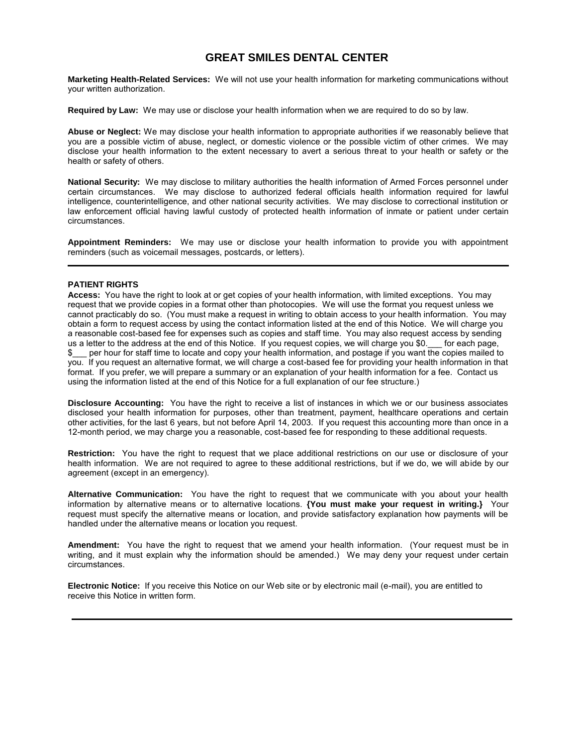## **GREAT SMILES DENTAL CENTER**

**Marketing Health-Related Services:** We will not use your health information for marketing communications without your written authorization.

**Required by Law:** We may use or disclose your health information when we are required to do so by law.

**Abuse or Neglect:** We may disclose your health information to appropriate authorities if we reasonably believe that you are a possible victim of abuse, neglect, or domestic violence or the possible victim of other crimes. We may disclose your health information to the extent necessary to avert a serious threat to your health or safety or the health or safety of others.

**National Security:** We may disclose to military authorities the health information of Armed Forces personnel under certain circumstances. We may disclose to authorized federal officials health information required for lawful intelligence, counterintelligence, and other national security activities. We may disclose to correctional institution or law enforcement official having lawful custody of protected health information of inmate or patient under certain circumstances.

**Appointment Reminders:** We may use or disclose your health information to provide you with appointment reminders (such as voicemail messages, postcards, or letters).

#### **PATIENT RIGHTS**

**Access:** You have the right to look at or get copies of your health information, with limited exceptions. You may request that we provide copies in a format other than photocopies. We will use the format you request unless we cannot practicably do so. (You must make a request in writing to obtain access to your health information. You may obtain a form to request access by using the contact information listed at the end of this Notice. We will charge you a reasonable cost-based fee for expenses such as copies and staff time. You may also request access by sending us a letter to the address at the end of this Notice. If you request copies, we will charge you \$0. For each page, \$\_\_\_ per hour for staff time to locate and copy your health information, and postage if you want the copies mailed to you. If you request an alternative format, we will charge a cost-based fee for providing your health information in that format. If you prefer, we will prepare a summary or an explanation of your health information for a fee. Contact us using the information listed at the end of this Notice for a full explanation of our fee structure.)

**Disclosure Accounting:** You have the right to receive a list of instances in which we or our business associates disclosed your health information for purposes, other than treatment, payment, healthcare operations and certain other activities, for the last 6 years, but not before April 14, 2003.If you request this accounting more than once in a 12-month period, we may charge you a reasonable, cost-based fee for responding to these additional requests.

**Restriction:** You have the right to request that we place additional restrictions on our use or disclosure of your health information. We are not required to agree to these additional restrictions, but if we do, we will abide by our agreement (except in an emergency).

**Alternative Communication:** You have the right to request that we communicate with you about your health information by alternative means or to alternative locations. **{You must make your request in writing.}** Your request must specify the alternative means or location, and provide satisfactory explanation how payments will be handled under the alternative means or location you request.

**Amendment:** You have the right to request that we amend your health information. (Your request must be in writing, and it must explain why the information should be amended.) We may deny your request under certain circumstances.

**Electronic Notice:** If you receive this Notice on our Web site or by electronic mail (e-mail), you are entitled to receive this Notice in written form.